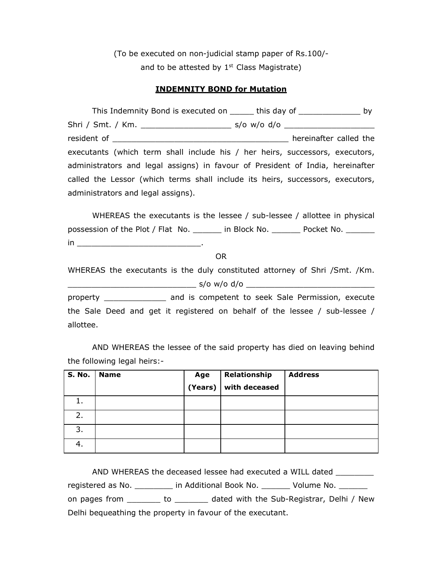(To be executed on non-judicial stamp paper of Rs.100/ and to be attested by  $1<sup>st</sup>$  Class Magistrate)

## **INDEMNITY BOND for Mutation**

|                                                                                | This Indemnity Bond is executed on ______ this day of ________________ by      |  |  |  |  |
|--------------------------------------------------------------------------------|--------------------------------------------------------------------------------|--|--|--|--|
|                                                                                |                                                                                |  |  |  |  |
|                                                                                | hereinafter called the                                                         |  |  |  |  |
|                                                                                | executants (which term shall include his / her heirs, successors, executors,   |  |  |  |  |
|                                                                                | administrators and legal assigns) in favour of President of India, hereinafter |  |  |  |  |
| called the Lessor (which terms shall include its heirs, successors, executors, |                                                                                |  |  |  |  |
| administrators and legal assigns).                                             |                                                                                |  |  |  |  |

WHEREAS the executants is the lessee / sub-lessee / allottee in physical possession of the Plot / Flat No. \_\_\_\_\_ in Block No. \_\_\_\_\_\_ Pocket No. \_\_\_\_\_\_  $\mathsf{in}$   $\_\_$ 

OR

WHEREAS the executants is the duly constituted attorney of Shri /Smt. /Km. \_\_\_\_\_\_\_\_\_\_\_\_\_\_\_\_\_\_\_\_\_\_\_\_\_\_\_ s/o w/o d/o \_\_\_\_\_\_\_\_\_\_\_\_\_\_\_\_\_\_\_\_\_\_\_\_\_\_\_

property \_\_\_\_\_\_\_\_\_\_\_\_\_ and is competent to seek Sale Permission, execute the Sale Deed and get it registered on behalf of the lessee / sub-lessee / allottee.

AND WHEREAS the lessee of the said property has died on leaving behind the following legal heirs:-

| <b>S. No.</b> 1 | <b>Name</b> | Age<br>(Years) | Relationship<br>with deceased | <b>Address</b> |
|-----------------|-------------|----------------|-------------------------------|----------------|
| 1.              |             |                |                               |                |
| 2.              |             |                |                               |                |
| 3.              |             |                |                               |                |
| 4.              |             |                |                               |                |

AND WHEREAS the deceased lessee had executed a WILL dated \_\_\_\_\_\_\_\_\_ registered as No. \_\_\_\_\_\_\_\_\_ in Additional Book No. \_\_\_\_\_\_\_ Volume No. \_\_\_\_\_\_\_ on pages from \_\_\_\_\_\_\_ to \_\_\_\_\_\_\_ dated with the Sub-Registrar, Delhi / New Delhi bequeathing the property in favour of the executant.